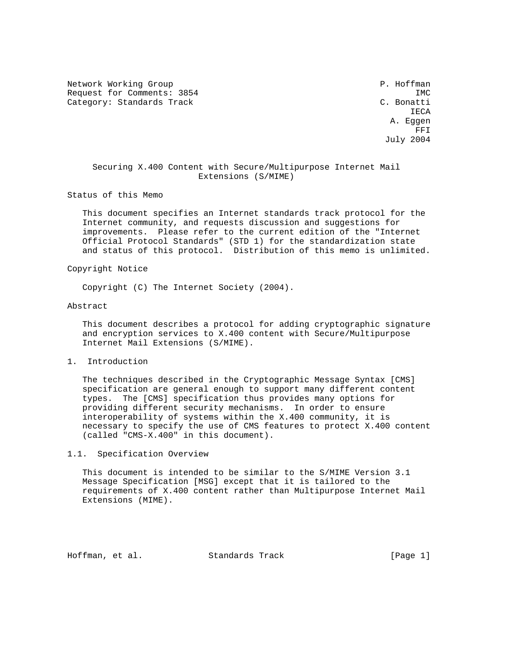Network Working Group **P. Hoffman** Request for Comments: 3854 IMC<br>Category: Standards Track Category: Standards Track Category: Standards Track

**IECA**  A. Eggen **FRIDE STATES AND STRUCK STATES AND STRUCK STATES AND STRUCK STATES AND STRUCK STATES AND STRUCK STATES AND STRUCK STATES AND STRUCK STATES AND STRUCK STATES AND STRUCK STATES AND STRUCK STATES AND STRUCK STATES AND STRUCK** July 2004

 Securing X.400 Content with Secure/Multipurpose Internet Mail Extensions (S/MIME)

Status of this Memo

 This document specifies an Internet standards track protocol for the Internet community, and requests discussion and suggestions for improvements. Please refer to the current edition of the "Internet Official Protocol Standards" (STD 1) for the standardization state and status of this protocol. Distribution of this memo is unlimited.

Copyright Notice

Copyright (C) The Internet Society (2004).

### Abstract

 This document describes a protocol for adding cryptographic signature and encryption services to X.400 content with Secure/Multipurpose Internet Mail Extensions (S/MIME).

1. Introduction

 The techniques described in the Cryptographic Message Syntax [CMS] specification are general enough to support many different content types. The [CMS] specification thus provides many options for providing different security mechanisms. In order to ensure interoperability of systems within the X.400 community, it is necessary to specify the use of CMS features to protect X.400 content (called "CMS-X.400" in this document).

### 1.1. Specification Overview

 This document is intended to be similar to the S/MIME Version 3.1 Message Specification [MSG] except that it is tailored to the requirements of X.400 content rather than Multipurpose Internet Mail Extensions (MIME).

Hoffman, et al. Standards Track [Page 1]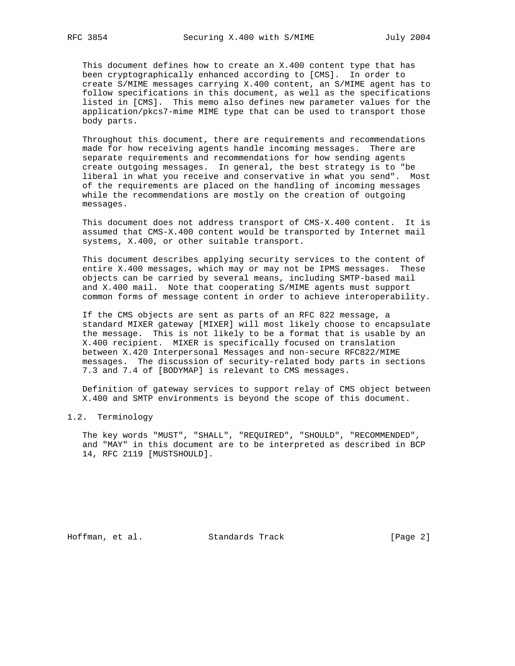This document defines how to create an X.400 content type that has been cryptographically enhanced according to [CMS]. In order to create S/MIME messages carrying X.400 content, an S/MIME agent has to follow specifications in this document, as well as the specifications listed in [CMS]. This memo also defines new parameter values for the application/pkcs7-mime MIME type that can be used to transport those body parts.

 Throughout this document, there are requirements and recommendations made for how receiving agents handle incoming messages. There are separate requirements and recommendations for how sending agents create outgoing messages. In general, the best strategy is to "be liberal in what you receive and conservative in what you send". Most of the requirements are placed on the handling of incoming messages while the recommendations are mostly on the creation of outgoing messages.

 This document does not address transport of CMS-X.400 content. It is assumed that CMS-X.400 content would be transported by Internet mail systems, X.400, or other suitable transport.

 This document describes applying security services to the content of entire X.400 messages, which may or may not be IPMS messages. These objects can be carried by several means, including SMTP-based mail and X.400 mail. Note that cooperating S/MIME agents must support common forms of message content in order to achieve interoperability.

 If the CMS objects are sent as parts of an RFC 822 message, a standard MIXER gateway [MIXER] will most likely choose to encapsulate the message. This is not likely to be a format that is usable by an X.400 recipient. MIXER is specifically focused on translation between X.420 Interpersonal Messages and non-secure RFC822/MIME messages. The discussion of security-related body parts in sections 7.3 and 7.4 of [BODYMAP] is relevant to CMS messages.

 Definition of gateway services to support relay of CMS object between X.400 and SMTP environments is beyond the scope of this document.

### 1.2. Terminology

 The key words "MUST", "SHALL", "REQUIRED", "SHOULD", "RECOMMENDED", and "MAY" in this document are to be interpreted as described in BCP 14, RFC 2119 [MUSTSHOULD].

Hoffman, et al. Standards Track [Page 2]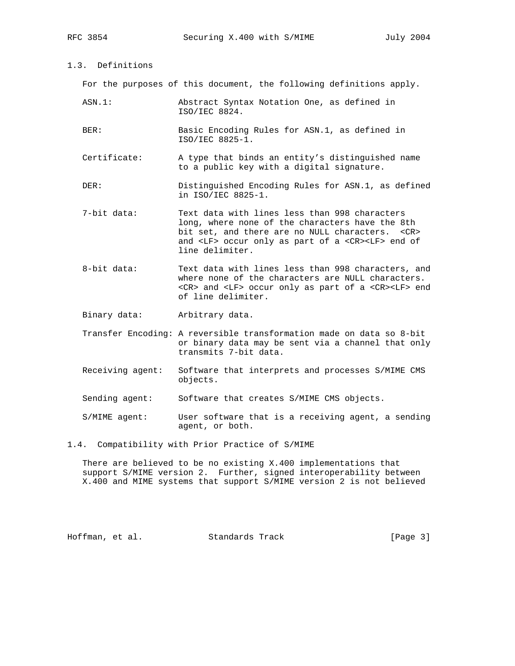1.3. Definitions

For the purposes of this document, the following definitions apply.

- ASN.1: Abstract Syntax Notation One, as defined in ISO/IEC 8824.
- BER: Basic Encoding Rules for ASN.1, as defined in ISO/IEC 8825-1.
- Certificate: A type that binds an entity's distinguished name to a public key with a digital signature.
- DER: Distinguished Encoding Rules for ASN.1, as defined in ISO/IEC 8825-1.
- 7-bit data: Text data with lines less than 998 characters long, where none of the characters have the 8th bit set, and there are no NULL characters. <CR> and <LF> occur only as part of a <CR><LF> end of line delimiter.
- 8-bit data: Text data with lines less than 998 characters, and where none of the characters are NULL characters. <CR> and <LF> occur only as part of a <CR><LF> end of line delimiter.
- Binary data: Arbitrary data.
- Transfer Encoding: A reversible transformation made on data so 8-bit or binary data may be sent via a channel that only transmits 7-bit data.
- Receiving agent: Software that interprets and processes S/MIME CMS objects.
- Sending agent: Software that creates S/MIME CMS objects.
- S/MIME agent: User software that is a receiving agent, a sending agent, or both.
- 1.4. Compatibility with Prior Practice of S/MIME

 There are believed to be no existing X.400 implementations that support S/MIME version 2. Further, signed interoperability between X.400 and MIME systems that support S/MIME version 2 is not believed

Hoffman, et al. Standards Track [Page 3]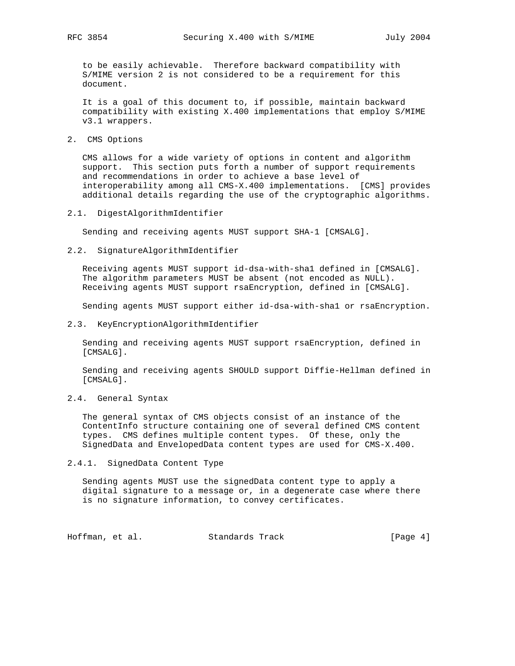to be easily achievable. Therefore backward compatibility with S/MIME version 2 is not considered to be a requirement for this document.

 It is a goal of this document to, if possible, maintain backward compatibility with existing X.400 implementations that employ S/MIME v3.1 wrappers.

2. CMS Options

 CMS allows for a wide variety of options in content and algorithm support. This section puts forth a number of support requirements and recommendations in order to achieve a base level of interoperability among all CMS-X.400 implementations. [CMS] provides additional details regarding the use of the cryptographic algorithms.

2.1. DigestAlgorithmIdentifier

Sending and receiving agents MUST support SHA-1 [CMSALG].

2.2. SignatureAlgorithmIdentifier

 Receiving agents MUST support id-dsa-with-sha1 defined in [CMSALG]. The algorithm parameters MUST be absent (not encoded as NULL). Receiving agents MUST support rsaEncryption, defined in [CMSALG].

Sending agents MUST support either id-dsa-with-sha1 or rsaEncryption.

2.3. KeyEncryptionAlgorithmIdentifier

 Sending and receiving agents MUST support rsaEncryption, defined in [CMSALG].

 Sending and receiving agents SHOULD support Diffie-Hellman defined in [CMSALG].

2.4. General Syntax

 The general syntax of CMS objects consist of an instance of the ContentInfo structure containing one of several defined CMS content types. CMS defines multiple content types. Of these, only the SignedData and EnvelopedData content types are used for CMS-X.400.

2.4.1. SignedData Content Type

 Sending agents MUST use the signedData content type to apply a digital signature to a message or, in a degenerate case where there is no signature information, to convey certificates.

Hoffman, et al. Standards Track [Page 4]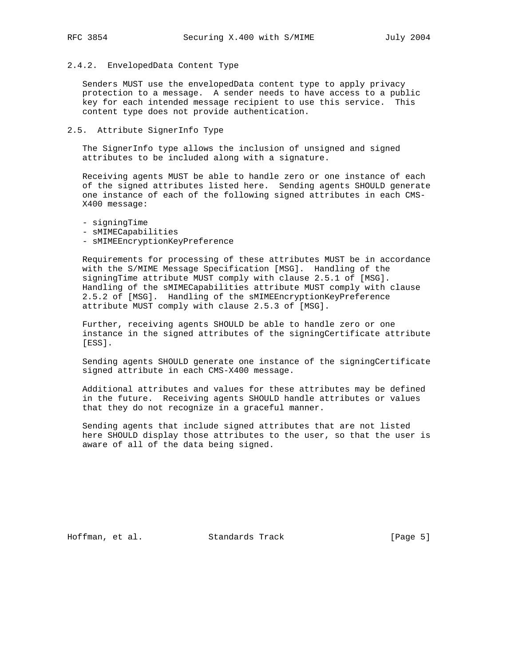### 2.4.2. EnvelopedData Content Type

 Senders MUST use the envelopedData content type to apply privacy protection to a message. A sender needs to have access to a public key for each intended message recipient to use this service. This content type does not provide authentication.

2.5. Attribute SignerInfo Type

 The SignerInfo type allows the inclusion of unsigned and signed attributes to be included along with a signature.

 Receiving agents MUST be able to handle zero or one instance of each of the signed attributes listed here. Sending agents SHOULD generate one instance of each of the following signed attributes in each CMS- X400 message:

- signingTime

- sMIMECapabilities
- sMIMEEncryptionKeyPreference

 Requirements for processing of these attributes MUST be in accordance with the S/MIME Message Specification [MSG]. Handling of the signingTime attribute MUST comply with clause 2.5.1 of [MSG]. Handling of the sMIMECapabilities attribute MUST comply with clause 2.5.2 of [MSG]. Handling of the sMIMEEncryptionKeyPreference attribute MUST comply with clause 2.5.3 of [MSG].

 Further, receiving agents SHOULD be able to handle zero or one instance in the signed attributes of the signingCertificate attribute [ESS].

 Sending agents SHOULD generate one instance of the signingCertificate signed attribute in each CMS-X400 message.

 Additional attributes and values for these attributes may be defined in the future. Receiving agents SHOULD handle attributes or values that they do not recognize in a graceful manner.

 Sending agents that include signed attributes that are not listed here SHOULD display those attributes to the user, so that the user is aware of all of the data being signed.

Hoffman, et al. Standards Track [Page 5]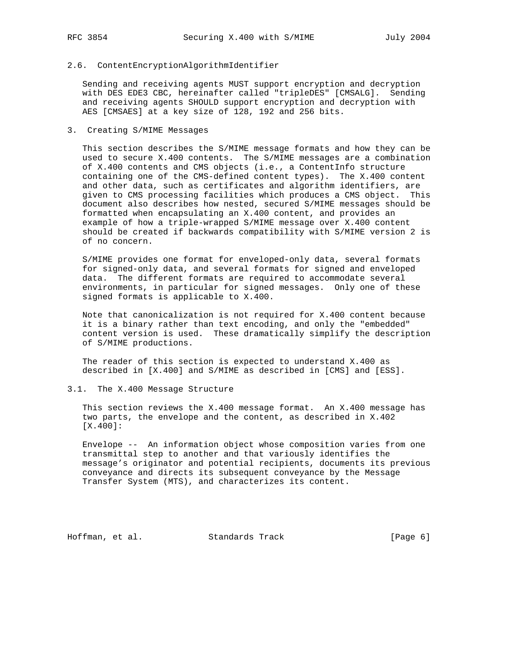### 2.6. ContentEncryptionAlgorithmIdentifier

 Sending and receiving agents MUST support encryption and decryption with DES EDE3 CBC, hereinafter called "tripleDES" [CMSALG]. Sending and receiving agents SHOULD support encryption and decryption with AES [CMSAES] at a key size of 128, 192 and 256 bits.

### 3. Creating S/MIME Messages

 This section describes the S/MIME message formats and how they can be used to secure X.400 contents. The S/MIME messages are a combination of X.400 contents and CMS objects (i.e., a ContentInfo structure containing one of the CMS-defined content types). The X.400 content and other data, such as certificates and algorithm identifiers, are given to CMS processing facilities which produces a CMS object. This document also describes how nested, secured S/MIME messages should be formatted when encapsulating an X.400 content, and provides an example of how a triple-wrapped S/MIME message over X.400 content should be created if backwards compatibility with S/MIME version 2 is of no concern.

 S/MIME provides one format for enveloped-only data, several formats for signed-only data, and several formats for signed and enveloped data. The different formats are required to accommodate several environments, in particular for signed messages. Only one of these signed formats is applicable to X.400.

 Note that canonicalization is not required for X.400 content because it is a binary rather than text encoding, and only the "embedded" content version is used. These dramatically simplify the description of S/MIME productions.

 The reader of this section is expected to understand X.400 as described in [X.400] and S/MIME as described in [CMS] and [ESS].

### 3.1. The X.400 Message Structure

 This section reviews the X.400 message format. An X.400 message has two parts, the envelope and the content, as described in X.402 [X.400]:

 Envelope -- An information object whose composition varies from one transmittal step to another and that variously identifies the message's originator and potential recipients, documents its previous conveyance and directs its subsequent conveyance by the Message Transfer System (MTS), and characterizes its content.

Hoffman, et al. Standards Track [Page 6]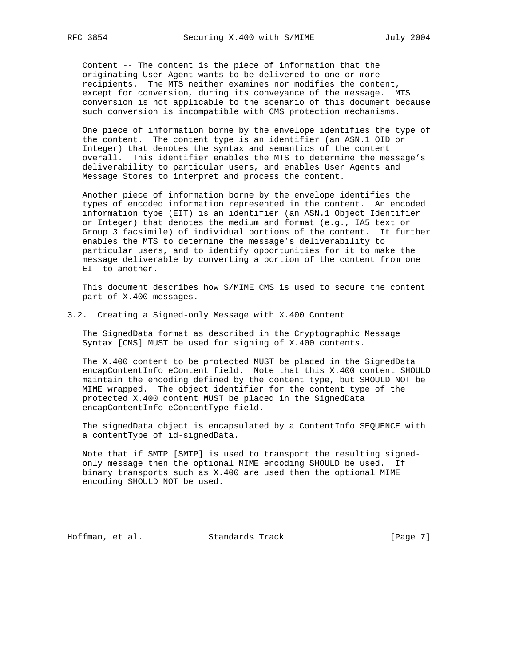Content -- The content is the piece of information that the originating User Agent wants to be delivered to one or more recipients. The MTS neither examines nor modifies the content, except for conversion, during its conveyance of the message. MTS conversion is not applicable to the scenario of this document because such conversion is incompatible with CMS protection mechanisms.

 One piece of information borne by the envelope identifies the type of the content. The content type is an identifier (an ASN.1 OID or Integer) that denotes the syntax and semantics of the content overall. This identifier enables the MTS to determine the message's deliverability to particular users, and enables User Agents and Message Stores to interpret and process the content.

 Another piece of information borne by the envelope identifies the types of encoded information represented in the content. An encoded information type (EIT) is an identifier (an ASN.1 Object Identifier or Integer) that denotes the medium and format (e.g., IA5 text or Group 3 facsimile) of individual portions of the content. It further enables the MTS to determine the message's deliverability to particular users, and to identify opportunities for it to make the message deliverable by converting a portion of the content from one EIT to another.

 This document describes how S/MIME CMS is used to secure the content part of X.400 messages.

3.2. Creating a Signed-only Message with X.400 Content

 The SignedData format as described in the Cryptographic Message Syntax [CMS] MUST be used for signing of X.400 contents.

 The X.400 content to be protected MUST be placed in the SignedData encapContentInfo eContent field. Note that this X.400 content SHOULD maintain the encoding defined by the content type, but SHOULD NOT be MIME wrapped. The object identifier for the content type of the protected X.400 content MUST be placed in the SignedData encapContentInfo eContentType field.

 The signedData object is encapsulated by a ContentInfo SEQUENCE with a contentType of id-signedData.

 Note that if SMTP [SMTP] is used to transport the resulting signed only message then the optional MIME encoding SHOULD be used. If binary transports such as X.400 are used then the optional MIME encoding SHOULD NOT be used.

Hoffman, et al. Standards Track [Page 7]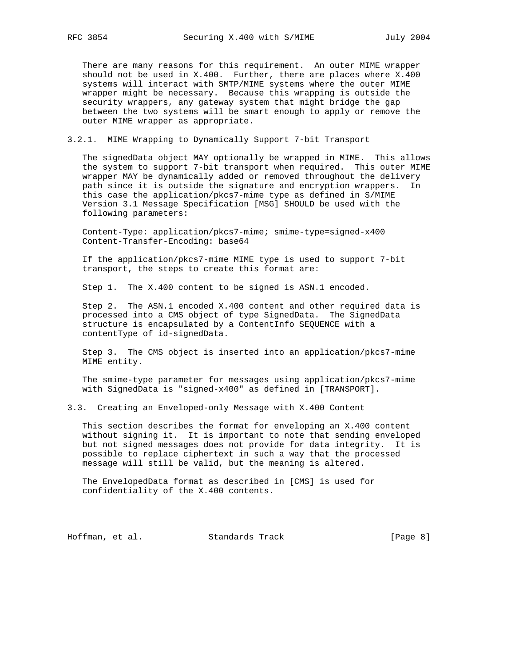There are many reasons for this requirement. An outer MIME wrapper should not be used in X.400. Further, there are places where X.400 systems will interact with SMTP/MIME systems where the outer MIME wrapper might be necessary. Because this wrapping is outside the security wrappers, any gateway system that might bridge the gap between the two systems will be smart enough to apply or remove the outer MIME wrapper as appropriate.

#### 3.2.1. MIME Wrapping to Dynamically Support 7-bit Transport

 The signedData object MAY optionally be wrapped in MIME. This allows the system to support 7-bit transport when required. This outer MIME wrapper MAY be dynamically added or removed throughout the delivery path since it is outside the signature and encryption wrappers. In this case the application/pkcs7-mime type as defined in S/MIME Version 3.1 Message Specification [MSG] SHOULD be used with the following parameters:

 Content-Type: application/pkcs7-mime; smime-type=signed-x400 Content-Transfer-Encoding: base64

 If the application/pkcs7-mime MIME type is used to support 7-bit transport, the steps to create this format are:

Step 1. The X.400 content to be signed is ASN.1 encoded.

 Step 2. The ASN.1 encoded X.400 content and other required data is processed into a CMS object of type SignedData. The SignedData structure is encapsulated by a ContentInfo SEQUENCE with a contentType of id-signedData.

 Step 3. The CMS object is inserted into an application/pkcs7-mime MIME entity.

 The smime-type parameter for messages using application/pkcs7-mime with SignedData is "signed-x400" as defined in [TRANSPORT].

3.3. Creating an Enveloped-only Message with X.400 Content

 This section describes the format for enveloping an X.400 content without signing it. It is important to note that sending enveloped but not signed messages does not provide for data integrity. It is possible to replace ciphertext in such a way that the processed message will still be valid, but the meaning is altered.

 The EnvelopedData format as described in [CMS] is used for confidentiality of the X.400 contents.

Hoffman, et al. Standards Track [Page 8]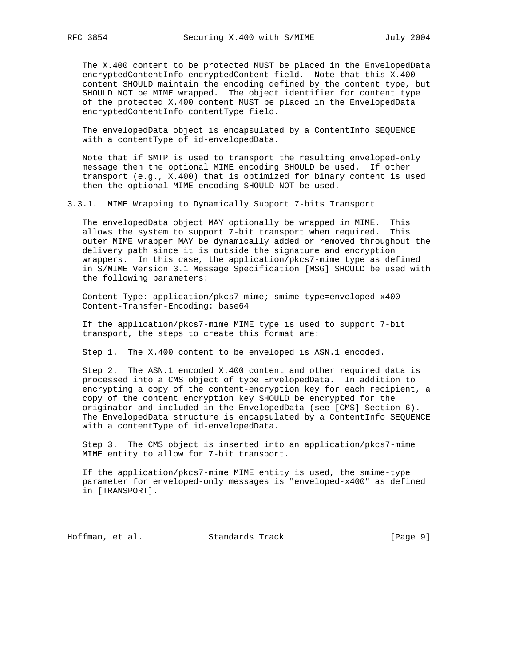The X.400 content to be protected MUST be placed in the EnvelopedData encryptedContentInfo encryptedContent field. Note that this X.400 content SHOULD maintain the encoding defined by the content type, but SHOULD NOT be MIME wrapped. The object identifier for content type of the protected X.400 content MUST be placed in the EnvelopedData encryptedContentInfo contentType field.

 The envelopedData object is encapsulated by a ContentInfo SEQUENCE with a contentType of id-envelopedData.

 Note that if SMTP is used to transport the resulting enveloped-only message then the optional MIME encoding SHOULD be used. If other transport (e.g., X.400) that is optimized for binary content is used then the optional MIME encoding SHOULD NOT be used.

3.3.1. MIME Wrapping to Dynamically Support 7-bits Transport

 The envelopedData object MAY optionally be wrapped in MIME. This allows the system to support 7-bit transport when required. This outer MIME wrapper MAY be dynamically added or removed throughout the delivery path since it is outside the signature and encryption wrappers. In this case, the application/pkcs7-mime type as defined in S/MIME Version 3.1 Message Specification [MSG] SHOULD be used with the following parameters:

 Content-Type: application/pkcs7-mime; smime-type=enveloped-x400 Content-Transfer-Encoding: base64

 If the application/pkcs7-mime MIME type is used to support 7-bit transport, the steps to create this format are:

Step 1. The X.400 content to be enveloped is ASN.1 encoded.

 Step 2. The ASN.1 encoded X.400 content and other required data is processed into a CMS object of type EnvelopedData. In addition to encrypting a copy of the content-encryption key for each recipient, a copy of the content encryption key SHOULD be encrypted for the originator and included in the EnvelopedData (see [CMS] Section 6). The EnvelopedData structure is encapsulated by a ContentInfo SEQUENCE with a contentType of id-envelopedData.

 Step 3. The CMS object is inserted into an application/pkcs7-mime MIME entity to allow for 7-bit transport.

 If the application/pkcs7-mime MIME entity is used, the smime-type parameter for enveloped-only messages is "enveloped-x400" as defined in [TRANSPORT].

Hoffman, et al. Standards Track [Page 9]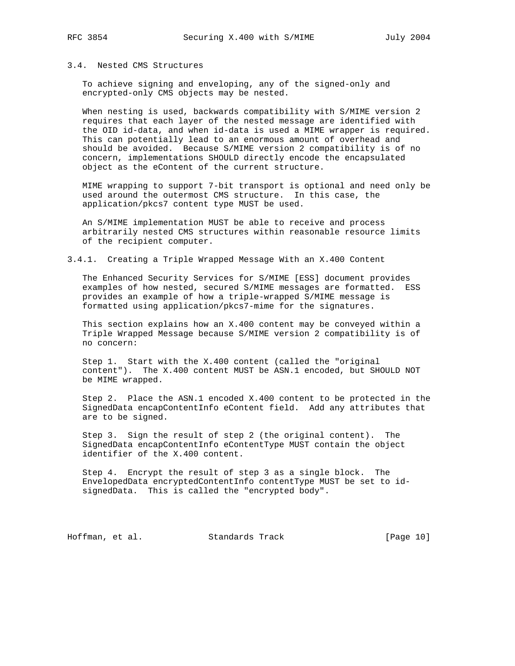### 3.4. Nested CMS Structures

 To achieve signing and enveloping, any of the signed-only and encrypted-only CMS objects may be nested.

 When nesting is used, backwards compatibility with S/MIME version 2 requires that each layer of the nested message are identified with the OID id-data, and when id-data is used a MIME wrapper is required. This can potentially lead to an enormous amount of overhead and should be avoided. Because S/MIME version 2 compatibility is of no concern, implementations SHOULD directly encode the encapsulated object as the eContent of the current structure.

 MIME wrapping to support 7-bit transport is optional and need only be used around the outermost CMS structure. In this case, the application/pkcs7 content type MUST be used.

 An S/MIME implementation MUST be able to receive and process arbitrarily nested CMS structures within reasonable resource limits of the recipient computer.

## 3.4.1. Creating a Triple Wrapped Message With an X.400 Content

 The Enhanced Security Services for S/MIME [ESS] document provides examples of how nested, secured S/MIME messages are formatted. ESS provides an example of how a triple-wrapped S/MIME message is formatted using application/pkcs7-mime for the signatures.

 This section explains how an X.400 content may be conveyed within a Triple Wrapped Message because S/MIME version 2 compatibility is of no concern:

 Step 1. Start with the X.400 content (called the "original content"). The X.400 content MUST be ASN.1 encoded, but SHOULD NOT be MIME wrapped.

 Step 2. Place the ASN.1 encoded X.400 content to be protected in the SignedData encapContentInfo eContent field. Add any attributes that are to be signed.

 Step 3. Sign the result of step 2 (the original content). The SignedData encapContentInfo eContentType MUST contain the object identifier of the X.400 content.

 Step 4. Encrypt the result of step 3 as a single block. The EnvelopedData encryptedContentInfo contentType MUST be set to id signedData. This is called the "encrypted body".

Hoffman, et al. Standards Track [Page 10]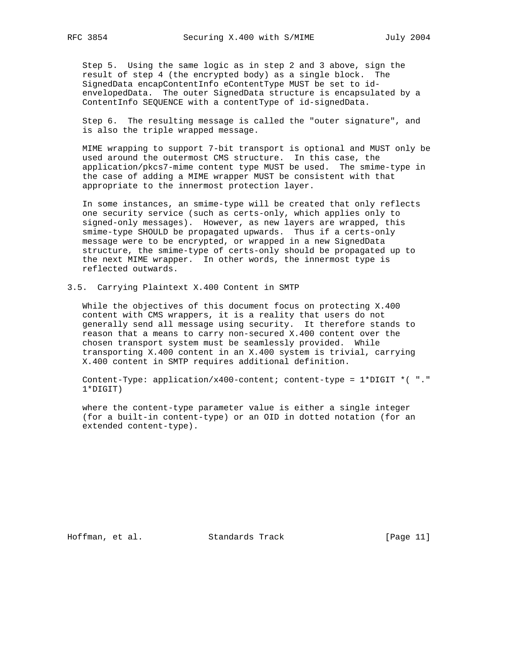Step 5. Using the same logic as in step 2 and 3 above, sign the result of step 4 (the encrypted body) as a single block. The SignedData encapContentInfo eContentType MUST be set to id envelopedData. The outer SignedData structure is encapsulated by a ContentInfo SEQUENCE with a contentType of id-signedData.

 Step 6. The resulting message is called the "outer signature", and is also the triple wrapped message.

 MIME wrapping to support 7-bit transport is optional and MUST only be used around the outermost CMS structure. In this case, the application/pkcs7-mime content type MUST be used. The smime-type in the case of adding a MIME wrapper MUST be consistent with that appropriate to the innermost protection layer.

 In some instances, an smime-type will be created that only reflects one security service (such as certs-only, which applies only to signed-only messages). However, as new layers are wrapped, this smime-type SHOULD be propagated upwards. Thus if a certs-only message were to be encrypted, or wrapped in a new SignedData structure, the smime-type of certs-only should be propagated up to the next MIME wrapper. In other words, the innermost type is reflected outwards.

3.5. Carrying Plaintext X.400 Content in SMTP

 While the objectives of this document focus on protecting X.400 content with CMS wrappers, it is a reality that users do not generally send all message using security. It therefore stands to reason that a means to carry non-secured X.400 content over the chosen transport system must be seamlessly provided. While transporting X.400 content in an X.400 system is trivial, carrying X.400 content in SMTP requires additional definition.

 Content-Type: application/x400-content; content-type = 1\*DIGIT \*( "." 1\*DIGIT)

 where the content-type parameter value is either a single integer (for a built-in content-type) or an OID in dotted notation (for an extended content-type).

Hoffman, et al. Standards Track [Page 11]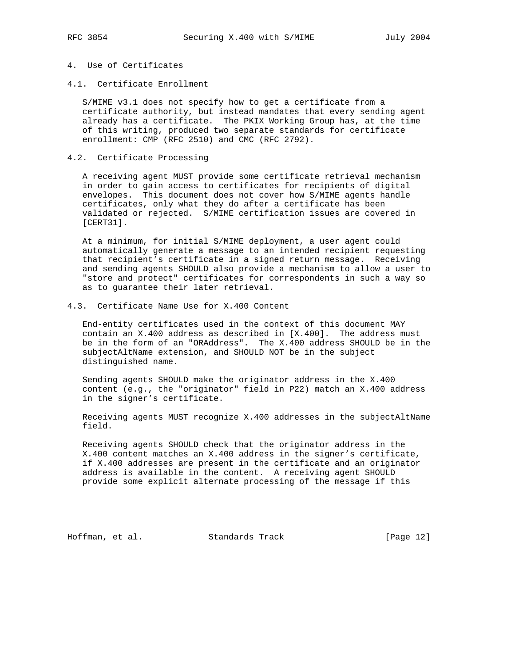# 4. Use of Certificates

4.1. Certificate Enrollment

 S/MIME v3.1 does not specify how to get a certificate from a certificate authority, but instead mandates that every sending agent already has a certificate. The PKIX Working Group has, at the time of this writing, produced two separate standards for certificate enrollment: CMP (RFC 2510) and CMC (RFC 2792).

4.2. Certificate Processing

 A receiving agent MUST provide some certificate retrieval mechanism in order to gain access to certificates for recipients of digital envelopes. This document does not cover how S/MIME agents handle certificates, only what they do after a certificate has been validated or rejected. S/MIME certification issues are covered in [CERT31].

 At a minimum, for initial S/MIME deployment, a user agent could automatically generate a message to an intended recipient requesting that recipient's certificate in a signed return message. Receiving and sending agents SHOULD also provide a mechanism to allow a user to "store and protect" certificates for correspondents in such a way so as to guarantee their later retrieval.

4.3. Certificate Name Use for X.400 Content

 End-entity certificates used in the context of this document MAY contain an X.400 address as described in [X.400]. The address must be in the form of an "ORAddress". The X.400 address SHOULD be in the subjectAltName extension, and SHOULD NOT be in the subject distinguished name.

 Sending agents SHOULD make the originator address in the X.400 content (e.g., the "originator" field in P22) match an X.400 address in the signer's certificate.

 Receiving agents MUST recognize X.400 addresses in the subjectAltName field.

 Receiving agents SHOULD check that the originator address in the X.400 content matches an X.400 address in the signer's certificate, if X.400 addresses are present in the certificate and an originator address is available in the content. A receiving agent SHOULD provide some explicit alternate processing of the message if this

Hoffman, et al. Standards Track [Page 12]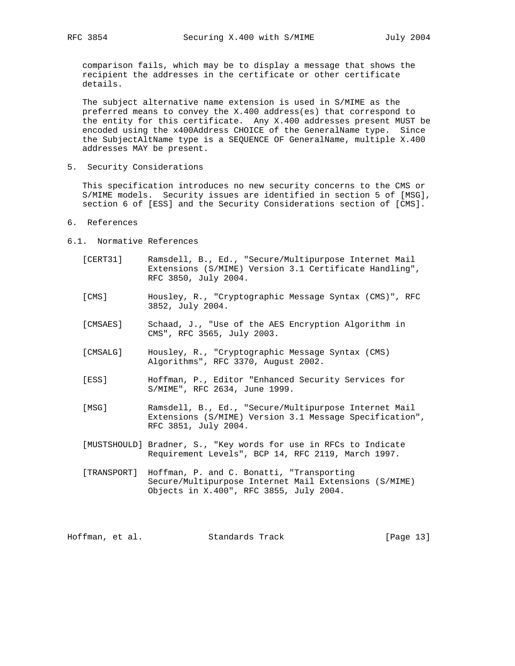comparison fails, which may be to display a message that shows the recipient the addresses in the certificate or other certificate details.

 The subject alternative name extension is used in S/MIME as the preferred means to convey the X.400 address(es) that correspond to the entity for this certificate. Any X.400 addresses present MUST be encoded using the x400Address CHOICE of the GeneralName type. Since the SubjectAltName type is a SEQUENCE OF GeneralName, multiple X.400 addresses MAY be present.

5. Security Considerations

 This specification introduces no new security concerns to the CMS or S/MIME models. Security issues are identified in section 5 of [MSG], section 6 of [ESS] and the Security Considerations section of [CMS].

- 6. References
- 6.1. Normative References
	- [CERT31] Ramsdell, B., Ed., "Secure/Multipurpose Internet Mail Extensions (S/MIME) Version 3.1 Certificate Handling", RFC 3850, July 2004.
	- [CMS] Housley, R., "Cryptographic Message Syntax (CMS)", RFC 3852, July 2004.
	- [CMSAES] Schaad, J., "Use of the AES Encryption Algorithm in CMS", RFC 3565, July 2003.
	- [CMSALG] Housley, R., "Cryptographic Message Syntax (CMS) Algorithms", RFC 3370, August 2002.
	- [ESS] Hoffman, P., Editor "Enhanced Security Services for S/MIME", RFC 2634, June 1999.
	- [MSG] Ramsdell, B., Ed., "Secure/Multipurpose Internet Mail Extensions (S/MIME) Version 3.1 Message Specification", RFC 3851, July 2004.
	- [MUSTSHOULD] Bradner, S., "Key words for use in RFCs to Indicate Requirement Levels", BCP 14, RFC 2119, March 1997.
	- [TRANSPORT] Hoffman, P. and C. Bonatti, "Transporting Secure/Multipurpose Internet Mail Extensions (S/MIME) Objects in X.400", RFC 3855, July 2004.

Hoffman, et al. Standards Track [Page 13]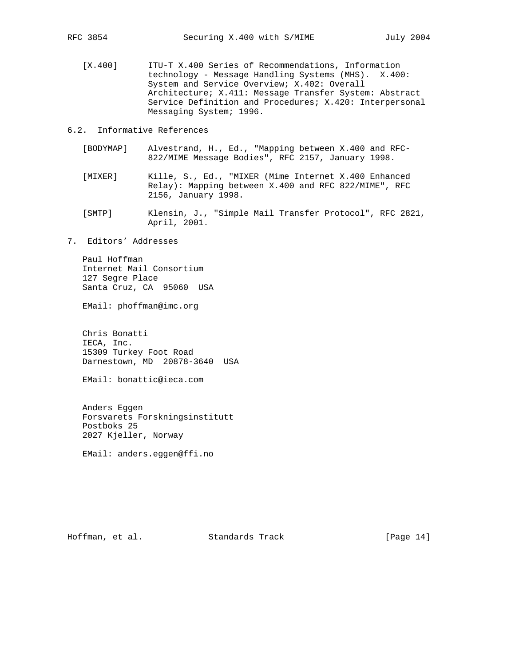[X.400] ITU-T X.400 Series of Recommendations, Information technology - Message Handling Systems (MHS). X.400: System and Service Overview; X.402: Overall Architecture; X.411: Message Transfer System: Abstract Service Definition and Procedures; X.420: Interpersonal Messaging System; 1996.

6.2. Informative References

- [BODYMAP] Alvestrand, H., Ed., "Mapping between X.400 and RFC- 822/MIME Message Bodies", RFC 2157, January 1998.
- [MIXER] Kille, S., Ed., "MIXER (Mime Internet X.400 Enhanced Relay): Mapping between X.400 and RFC 822/MIME", RFC 2156, January 1998.
- [SMTP] Klensin, J., "Simple Mail Transfer Protocol", RFC 2821, April, 2001.
- 7. Editors' Addresses

 Paul Hoffman Internet Mail Consortium 127 Segre Place Santa Cruz, CA 95060 USA

EMail: phoffman@imc.org

 Chris Bonatti IECA, Inc. 15309 Turkey Foot Road Darnestown, MD 20878-3640 USA

EMail: bonattic@ieca.com

 Anders Eggen Forsvarets Forskningsinstitutt Postboks 25 2027 Kjeller, Norway

EMail: anders.eggen@ffi.no

Hoffman, et al. Standards Track [Page 14]